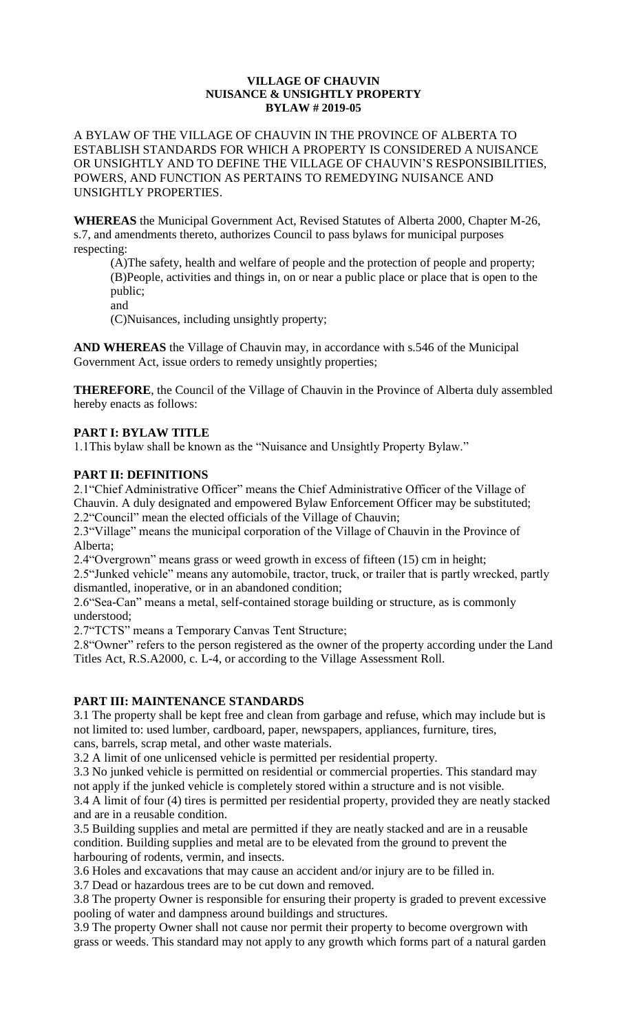#### **VILLAGE OF CHAUVIN NUISANCE & UNSIGHTLY PROPERTY BYLAW # 2019-05**

A BYLAW OF THE VILLAGE OF CHAUVIN IN THE PROVINCE OF ALBERTA TO ESTABLISH STANDARDS FOR WHICH A PROPERTY IS CONSIDERED A NUISANCE OR UNSIGHTLY AND TO DEFINE THE VILLAGE OF CHAUVIN'S RESPONSIBILITIES, POWERS, AND FUNCTION AS PERTAINS TO REMEDYING NUISANCE AND UNSIGHTLY PROPERTIES.

**WHEREAS** the Municipal Government Act, Revised Statutes of Alberta 2000, Chapter M-26, s.7, and amendments thereto, authorizes Council to pass bylaws for municipal purposes respecting:

(A)The safety, health and welfare of people and the protection of people and property; (B)People, activities and things in, on or near a public place or place that is open to the public;

and

(C)Nuisances, including unsightly property;

**AND WHEREAS** the Village of Chauvin may, in accordance with s.546 of the Municipal Government Act, issue orders to remedy unsightly properties;

**THEREFORE**, the Council of the Village of Chauvin in the Province of Alberta duly assembled hereby enacts as follows:

# **PART I: BYLAW TITLE**

1.1This bylaw shall be known as the "Nuisance and Unsightly Property Bylaw."

### **PART II: DEFINITIONS**

2.1"Chief Administrative Officer" means the Chief Administrative Officer of the Village of Chauvin. A duly designated and empowered Bylaw Enforcement Officer may be substituted; 2.2"Council" mean the elected officials of the Village of Chauvin;

2.3"Village" means the municipal corporation of the Village of Chauvin in the Province of Alberta;

2.4"Overgrown" means grass or weed growth in excess of fifteen (15) cm in height;

2.5"Junked vehicle" means any automobile, tractor, truck, or trailer that is partly wrecked, partly dismantled, inoperative, or in an abandoned condition;

2.6"Sea-Can" means a metal, self-contained storage building or structure, as is commonly understood;

2.7"TCTS" means a Temporary Canvas Tent Structure;

2.8"Owner" refers to the person registered as the owner of the property according under the Land Titles Act, R.S.A2000, c. L-4, or according to the Village Assessment Roll.

### **PART III: MAINTENANCE STANDARDS**

3.1 The property shall be kept free and clean from garbage and refuse, which may include but is not limited to: used lumber, cardboard, paper, newspapers, appliances, furniture, tires, cans, barrels, scrap metal, and other waste materials.

3.2 A limit of one unlicensed vehicle is permitted per residential property.

3.3 No junked vehicle is permitted on residential or commercial properties. This standard may not apply if the junked vehicle is completely stored within a structure and is not visible.

3.4 A limit of four (4) tires is permitted per residential property, provided they are neatly stacked and are in a reusable condition.

3.5 Building supplies and metal are permitted if they are neatly stacked and are in a reusable condition. Building supplies and metal are to be elevated from the ground to prevent the harbouring of rodents, vermin, and insects.

3.6 Holes and excavations that may cause an accident and/or injury are to be filled in.

3.7 Dead or hazardous trees are to be cut down and removed.

3.8 The property Owner is responsible for ensuring their property is graded to prevent excessive pooling of water and dampness around buildings and structures.

3.9 The property Owner shall not cause nor permit their property to become overgrown with grass or weeds. This standard may not apply to any growth which forms part of a natural garden